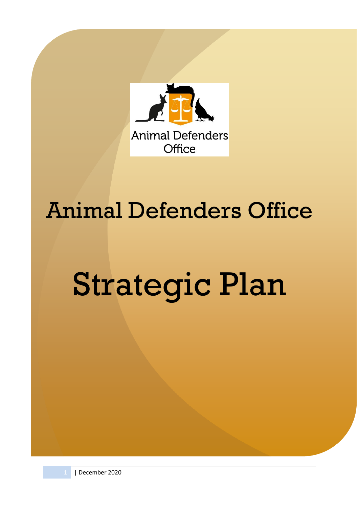

# Animal Defenders Office

# Strategic Plan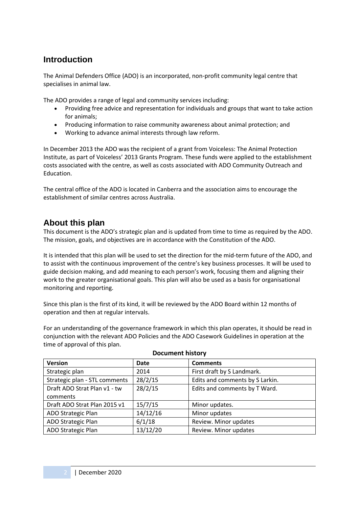# **Introduction**

The Animal Defenders Office (ADO) is an incorporated, non-profit community legal centre that specialises in animal law.

The ADO provides a range of legal and community services including:

- Providing free advice and representation for individuals and groups that want to take action for animals;
- Producing information to raise community awareness about animal protection; and
- Working to advance animal interests through law reform.

In December 2013 the ADO was the recipient of a grant from Voiceless: The Animal Protection Institute, as part of Voiceless' 2013 Grants Program. These funds were applied to the establishment costs associated with the centre, as well as costs associated with ADO Community Outreach and Education.

The central office of the ADO is located in Canberra and the association aims to encourage the establishment of similar centres across Australia.

# **About this plan**

This document is the ADO's strategic plan and is updated from time to time as required by the ADO. The mission, goals, and objectives are in accordance with the Constitution of the ADO.

It is intended that this plan will be used to set the direction for the mid-term future of the ADO, and to assist with the continuous improvement of the centre's key business processes. It will be used to guide decision making, and add meaning to each person's work, focusing them and aligning their work to the greater organisational goals. This plan will also be used as a basis for organisational monitoring and reporting.

Since this plan is the first of its kind, it will be reviewed by the ADO Board within 12 months of operation and then at regular intervals.

For an understanding of the governance framework in which this plan operates, it should be read in conjunction with the relevant ADO Policies and the ADO Casework Guidelines in operation at the time of approval of this plan.

| <b>Version</b>                | <b>Date</b> | <b>Comments</b>                 |
|-------------------------------|-------------|---------------------------------|
| Strategic plan                | 2014        | First draft by S Landmark.      |
| Strategic plan - STL comments | 28/2/15     | Edits and comments by S Larkin. |
| Draft ADO Strat Plan v1 - tw  | 28/2/15     | Edits and comments by T Ward.   |
| comments                      |             |                                 |
| Draft ADO Strat Plan 2015 v1  | 15/7/15     | Minor updates.                  |
| ADO Strategic Plan            | 14/12/16    | Minor updates                   |
| ADO Strategic Plan            | 6/1/18      | Review. Minor updates           |
| ADO Strategic Plan            | 13/12/20    | Review. Minor updates           |

#### **Document history**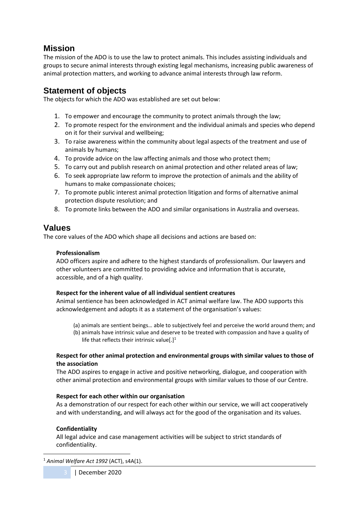# **Mission**

The mission of the ADO is to use the law to protect animals. This includes assisting individuals and groups to secure animal interests through existing legal mechanisms, increasing public awareness of animal protection matters, and working to advance animal interests through law reform.

# **Statement of objects**

The objects for which the ADO was established are set out below:

- 1. To empower and encourage the community to protect animals through the law;
- 2. To promote respect for the environment and the individual animals and species who depend on it for their survival and wellbeing;
- 3. To raise awareness within the community about legal aspects of the treatment and use of animals by humans;
- 4. To provide advice on the law affecting animals and those who protect them;
- 5. To carry out and publish research on animal protection and other related areas of law;
- 6. To seek appropriate law reform to improve the protection of animals and the ability of humans to make compassionate choices;
- 7. To promote public interest animal protection litigation and forms of alternative animal protection dispute resolution; and
- 8. To promote links between the ADO and similar organisations in Australia and overseas.

# **Values**

The core values of the ADO which shape all decisions and actions are based on:

#### **Professionalism**

ADO officers aspire and adhere to the highest standards of professionalism. Our lawyers and other volunteers are committed to providing advice and information that is accurate, accessible, and of a high quality.

#### **Respect for the inherent value of all individual sentient creatures**

Animal sentience has been acknowledged in ACT animal welfare law. The ADO supports this acknowledgement and adopts it as a statement of the organisation's values:

- (a) animals are sentient beings… able to subjectively feel and perceive the world around them; and
- (b) animals have intrinsic value and deserve to be treated with compassion and have a quality of life that reflects their intrinsic value[.]<sup>1</sup>

#### **Respect for other animal protection and environmental groups with similar values to those of the association**

The ADO aspires to engage in active and positive networking, dialogue, and cooperation with other animal protection and environmental groups with similar values to those of our Centre.

#### **Respect for each other within our organisation**

As a demonstration of our respect for each other within our service, we will act cooperatively and with understanding, and will always act for the good of the organisation and its values.

#### **Confidentiality**

All legal advice and case management activities will be subject to strict standards of confidentiality.

<sup>1</sup> *Animal Welfare Act 1992* (ACT), s4A(1).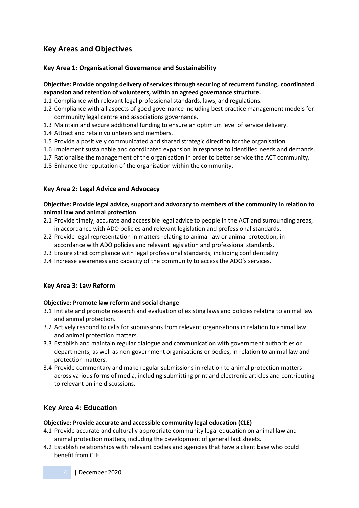# **Key Areas and Objectives**

#### **Key Area 1: Organisational Governance and Sustainability**

#### **Objective: Provide ongoing delivery of services through securing of recurrent funding, coordinated expansion and retention of volunteers, within an agreed governance structure.**

- 1.1 Compliance with relevant legal professional standards, laws, and regulations.
- 1.2 Compliance with all aspects of good governance including best practice management models for community legal centre and associations governance.
- 1.3 Maintain and secure additional funding to ensure an optimum level of service delivery.
- 1.4 Attract and retain volunteers and members.
- 1.5 Provide a positively communicated and shared strategic direction for the organisation.
- 1.6 Implement sustainable and coordinated expansion in response to identified needs and demands.
- 1.7 Rationalise the management of the organisation in order to better service the ACT community.
- 1.8 Enhance the reputation of the organisation within the community.

#### **Key Area 2: Legal Advice and Advocacy**

#### **Objective: Provide legal advice, support and advocacy to members of the community in relation to animal law and animal protection**

- 2.1 Provide timely, accurate and accessible legal advice to people in the ACT and surrounding areas, in accordance with ADO policies and relevant legislation and professional standards.
- 2.2 Provide legal representation in matters relating to animal law or animal protection, in accordance with ADO policies and relevant legislation and professional standards.
- 2.3 Ensure strict compliance with legal professional standards, including confidentiality.
- 2.4 Increase awareness and capacity of the community to access the ADO's services.

#### **Key Area 3: Law Reform**

#### **Objective: Promote law reform and social change**

- 3.1 Initiate and promote research and evaluation of existing laws and policies relating to animal law and animal protection.
- 3.2 Actively respond to calls for submissions from relevant organisations in relation to animal law and animal protection matters.
- 3.3 Establish and maintain regular dialogue and communication with government authorities or departments, as well as non-government organisations or bodies, in relation to animal law and protection matters.
- 3.4 Provide commentary and make regular submissions in relation to animal protection matters across various forms of media, including submitting print and electronic articles and contributing to relevant online discussions.

#### **Key Area 4: Education**

#### **Objective: Provide accurate and accessible community legal education (CLE)**

- 4.1 Provide accurate and culturally appropriate community legal education on animal law and animal protection matters, including the development of general fact sheets.
- 4.2 Establish relationships with relevant bodies and agencies that have a client base who could benefit from CLE.